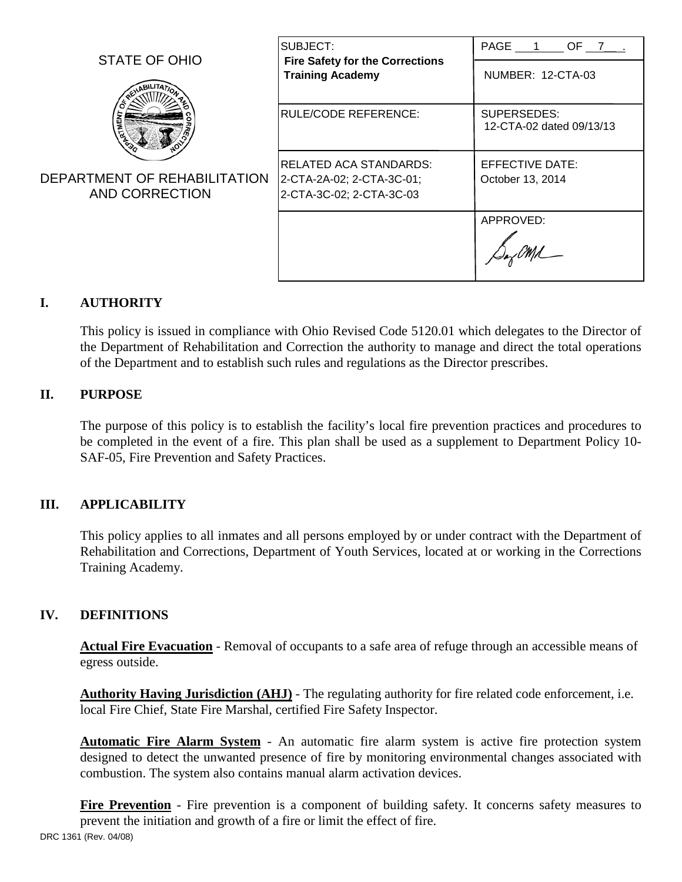|                                                | SUBJECT:                                                                        | PAGE 1 OF 7 .                           |
|------------------------------------------------|---------------------------------------------------------------------------------|-----------------------------------------|
| STATE OF OHIO                                  | <b>Fire Safety for the Corrections</b><br><b>Training Academy</b>               | NUMBER: 12-CTA-03                       |
|                                                | <b>RULE/CODE REFERENCE:</b>                                                     | SUPERSEDES:<br>12-CTA-02 dated 09/13/13 |
| DEPARTMENT OF REHABILITATION<br>AND CORRECTION | RELATED ACA STANDARDS:<br>2-CTA-2A-02; 2-CTA-3C-01;<br>2-CTA-3C-02; 2-CTA-3C-03 | EFFECTIVE DATE:<br>October 13, 2014     |
|                                                |                                                                                 | APPROVED:                               |

# **I. AUTHORITY**

This policy is issued in compliance with Ohio Revised Code 5120.01 which delegates to the Director of the Department of Rehabilitation and Correction the authority to manage and direct the total operations of the Department and to establish such rules and regulations as the Director prescribes.

### **II. PURPOSE**

The purpose of this policy is to establish the facility's local fire prevention practices and procedures to be completed in the event of a fire. This plan shall be used as a supplement to Department Policy 10- SAF-05, Fire Prevention and Safety Practices.

## **III. APPLICABILITY**

This policy applies to all inmates and all persons employed by or under contract with the Department of Rehabilitation and Corrections, Department of Youth Services, located at or working in the Corrections Training Academy.

#### **IV. DEFINITIONS**

**Actual Fire Evacuation** - Removal of occupants to a safe area of refuge through an accessible means of egress outside.

**Authority Having Jurisdiction (AHJ)** - The regulating authority for fire related code enforcement, i.e. local Fire Chief, State Fire Marshal, certified Fire Safety Inspector.

**Automatic Fire Alarm System** - An automatic fire alarm system is active fire protection system designed to detect the unwanted presence of fire by monitoring environmental changes associated with combustion. The system also contains manual alarm activation devices.

**Fire Prevention** - Fire prevention is a component of building safety. It concerns safety measures to prevent the initiation and growth of a fire or limit the effect of fire. DRC 1361 (Rev. 04/08)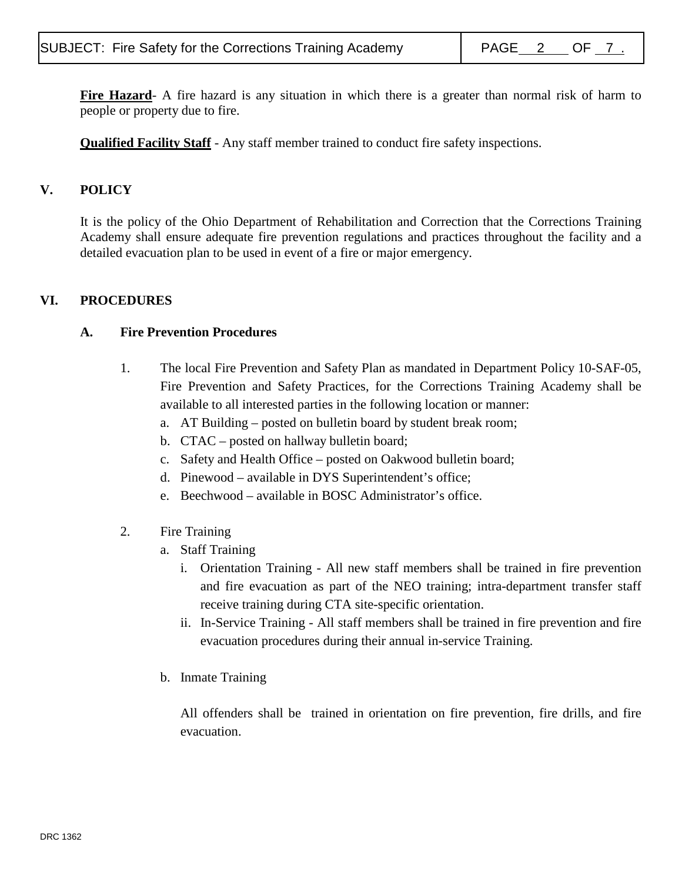**Fire Hazard**- A fire hazard is any situation in which there is a greater than normal risk of harm to people or property due to fire.

**Qualified Facility Staff** - Any staff member trained to conduct fire safety inspections.

## **V. POLICY**

It is the policy of the Ohio Department of Rehabilitation and Correction that the Corrections Training Academy shall ensure adequate fire prevention regulations and practices throughout the facility and a detailed evacuation plan to be used in event of a fire or major emergency.

## **VI. PROCEDURES**

### **A. Fire Prevention Procedures**

- 1. The local Fire Prevention and Safety Plan as mandated in Department Policy 10-SAF-05, Fire Prevention and Safety Practices, for the Corrections Training Academy shall be available to all interested parties in the following location or manner:
	- a. AT Building posted on bulletin board by student break room;
	- b. CTAC posted on hallway bulletin board;
	- c. Safety and Health Office posted on Oakwood bulletin board;
	- d. Pinewood available in DYS Superintendent's office;
	- e. Beechwood available in BOSC Administrator's office.
- 2. Fire Training
	- a. Staff Training
		- i. Orientation Training All new staff members shall be trained in fire prevention and fire evacuation as part of the NEO training; intra-department transfer staff receive training during CTA site-specific orientation.
		- ii. In-Service Training All staff members shall be trained in fire prevention and fire evacuation procedures during their annual in-service Training.
	- b. Inmate Training

All offenders shall be trained in orientation on fire prevention, fire drills, and fire evacuation.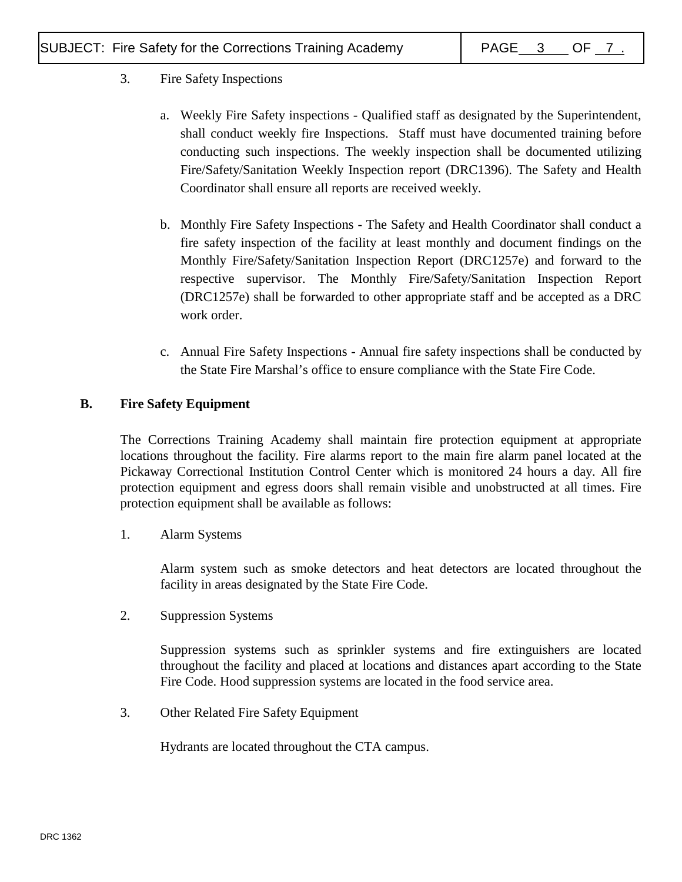# 3. Fire Safety Inspections

- a. Weekly Fire Safety inspections Qualified staff as designated by the Superintendent, shall conduct weekly fire Inspections. Staff must have documented training before conducting such inspections. The weekly inspection shall be documented utilizing Fire/Safety/Sanitation Weekly Inspection report (DRC1396). The Safety and Health Coordinator shall ensure all reports are received weekly.
- b. Monthly Fire Safety Inspections The Safety and Health Coordinator shall conduct a fire safety inspection of the facility at least monthly and document findings on the Monthly Fire/Safety/Sanitation Inspection Report (DRC1257e) and forward to the respective supervisor. The Monthly Fire/Safety/Sanitation Inspection Report (DRC1257e) shall be forwarded to other appropriate staff and be accepted as a DRC work order.
- c. Annual Fire Safety Inspections Annual fire safety inspections shall be conducted by the State Fire Marshal's office to ensure compliance with the State Fire Code.

# **B. Fire Safety Equipment**

The Corrections Training Academy shall maintain fire protection equipment at appropriate locations throughout the facility. Fire alarms report to the main fire alarm panel located at the Pickaway Correctional Institution Control Center which is monitored 24 hours a day. All fire protection equipment and egress doors shall remain visible and unobstructed at all times. Fire protection equipment shall be available as follows:

1. Alarm Systems

Alarm system such as smoke detectors and heat detectors are located throughout the facility in areas designated by the State Fire Code.

2. Suppression Systems

Suppression systems such as sprinkler systems and fire extinguishers are located throughout the facility and placed at locations and distances apart according to the State Fire Code. Hood suppression systems are located in the food service area.

3. Other Related Fire Safety Equipment

Hydrants are located throughout the CTA campus.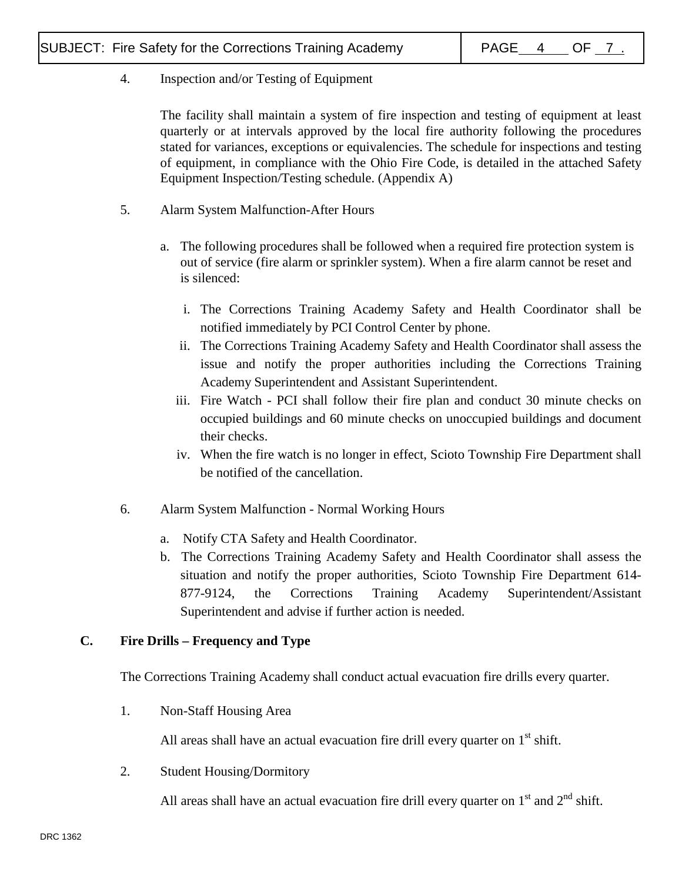# 4. Inspection and/or Testing of Equipment

The facility shall maintain a system of fire inspection and testing of equipment at least quarterly or at intervals approved by the local fire authority following the procedures stated for variances, exceptions or equivalencies. The schedule for inspections and testing of equipment, in compliance with the Ohio Fire Code, is detailed in the attached Safety Equipment Inspection/Testing schedule. (Appendix A)

- 5. Alarm System Malfunction-After Hours
	- a. The following procedures shall be followed when a required fire protection system is out of service (fire alarm or sprinkler system). When a fire alarm cannot be reset and is silenced:
		- i. The Corrections Training Academy Safety and Health Coordinator shall be notified immediately by PCI Control Center by phone.
		- ii. The Corrections Training Academy Safety and Health Coordinator shall assess the issue and notify the proper authorities including the Corrections Training Academy Superintendent and Assistant Superintendent.
		- iii. Fire Watch PCI shall follow their fire plan and conduct 30 minute checks on occupied buildings and 60 minute checks on unoccupied buildings and document their checks.
		- iv. When the fire watch is no longer in effect, Scioto Township Fire Department shall be notified of the cancellation.
- 6. Alarm System Malfunction Normal Working Hours
	- a. Notify CTA Safety and Health Coordinator.
	- b. The Corrections Training Academy Safety and Health Coordinator shall assess the situation and notify the proper authorities, Scioto Township Fire Department 614- 877-9124, the Corrections Training Academy Superintendent/Assistant Superintendent and advise if further action is needed.

# **C. Fire Drills – Frequency and Type**

The Corrections Training Academy shall conduct actual evacuation fire drills every quarter.

1. Non-Staff Housing Area

All areas shall have an actual evacuation fire drill every quarter on  $1<sup>st</sup>$  shift.

2. Student Housing/Dormitory

All areas shall have an actual evacuation fire drill every quarter on  $1<sup>st</sup>$  and  $2<sup>nd</sup>$  shift.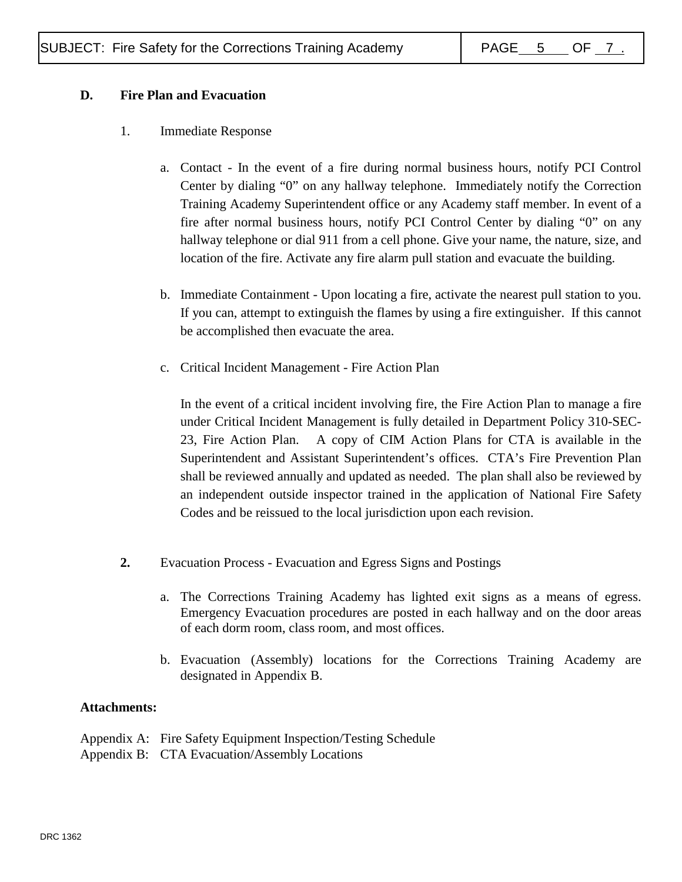## **D. Fire Plan and Evacuation**

- 1. Immediate Response
	- a. Contact In the event of a fire during normal business hours, notify PCI Control Center by dialing "0" on any hallway telephone. Immediately notify the Correction Training Academy Superintendent office or any Academy staff member. In event of a fire after normal business hours, notify PCI Control Center by dialing "0" on any hallway telephone or dial 911 from a cell phone. Give your name, the nature, size, and location of the fire. Activate any fire alarm pull station and evacuate the building.
	- b. Immediate Containment Upon locating a fire, activate the nearest pull station to you. If you can, attempt to extinguish the flames by using a fire extinguisher. If this cannot be accomplished then evacuate the area.
	- c. Critical Incident Management Fire Action Plan

In the event of a critical incident involving fire, the Fire Action Plan to manage a fire under Critical Incident Management is fully detailed in Department Policy 310-SEC-23, Fire Action Plan. A copy of CIM Action Plans for CTA is available in the Superintendent and Assistant Superintendent's offices. CTA's Fire Prevention Plan shall be reviewed annually and updated as needed. The plan shall also be reviewed by an independent outside inspector trained in the application of National Fire Safety Codes and be reissued to the local jurisdiction upon each revision.

- **2.** Evacuation Process Evacuation and Egress Signs and Postings
	- a. The Corrections Training Academy has lighted exit signs as a means of egress. Emergency Evacuation procedures are posted in each hallway and on the door areas of each dorm room, class room, and most offices.
	- b. Evacuation (Assembly) locations for the Corrections Training Academy are designated in Appendix B.

#### **Attachments:**

| Appendix A: Fire Safety Equipment Inspection/Testing Schedule |
|---------------------------------------------------------------|
| Appendix B: CTA Evacuation/Assembly Locations                 |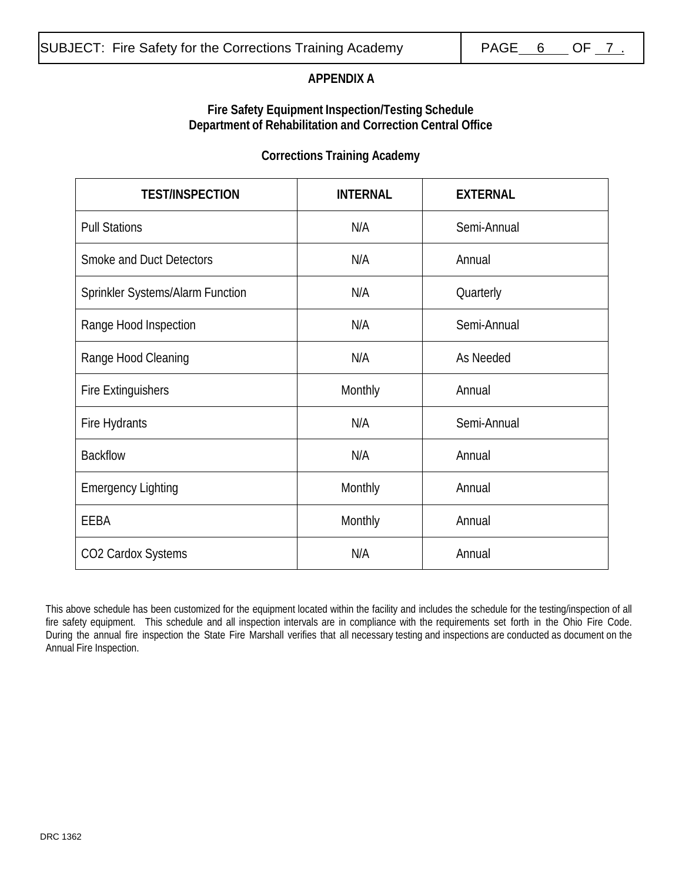# **APPENDIX A**

### **Fire Safety Equipment Inspection/Testing Schedule Department of Rehabilitation and Correction Central Office**

## **Corrections Training Academy**

| <b>TEST/INSPECTION</b>                  | <b>INTERNAL</b> | <b>EXTERNAL</b> |
|-----------------------------------------|-----------------|-----------------|
| <b>Pull Stations</b>                    | N/A             | Semi-Annual     |
| <b>Smoke and Duct Detectors</b>         | N/A             | Annual          |
| <b>Sprinkler Systems/Alarm Function</b> | N/A             | Quarterly       |
| Range Hood Inspection                   | N/A             | Semi-Annual     |
| Range Hood Cleaning                     | N/A             | As Needed       |
| <b>Fire Extinguishers</b>               | Monthly         | Annual          |
| Fire Hydrants                           | N/A             | Semi-Annual     |
| <b>Backflow</b>                         | N/A             | Annual          |
| <b>Emergency Lighting</b>               | Monthly         | Annual          |
| EEBA                                    | Monthly         | Annual          |
| CO2 Cardox Systems                      | N/A             | Annual          |

This above schedule has been customized for the equipment located within the facility and includes the schedule for the testing/inspection of all fire safety equipment. This schedule and all inspection intervals are in compliance with the requirements set forth in the Ohio Fire Code. During the annual fire inspection the State Fire Marshall verifies that all necessary testing and inspections are conducted as document on the Annual Fire Inspection.